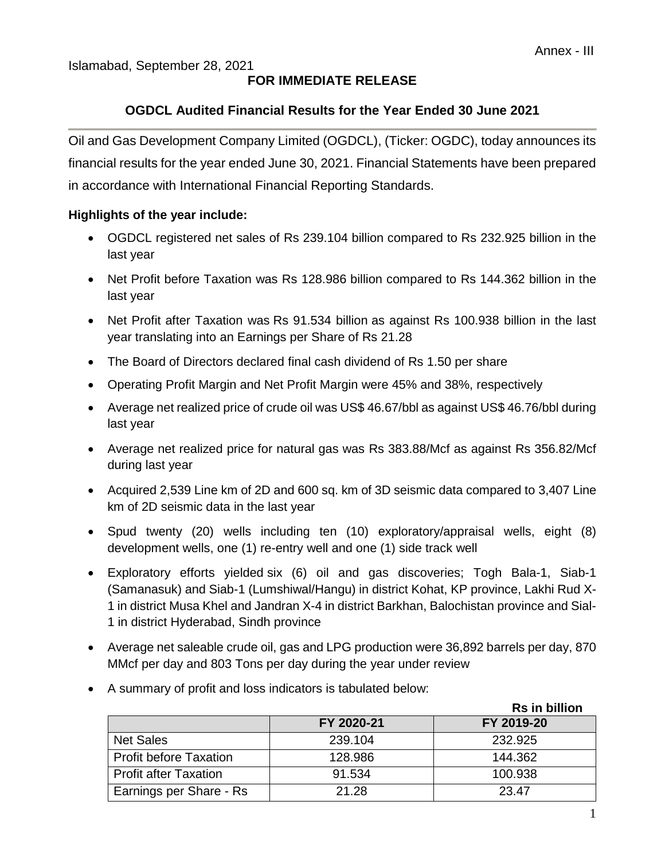### Islamabad, September 28, 2021

## **FOR IMMEDIATE RELEASE**

## **OGDCL Audited Financial Results for the Year Ended 30 June 2021**

Oil and Gas Development Company Limited (OGDCL), (Ticker: OGDC), today announces its financial results for the year ended June 30, 2021. Financial Statements have been prepared in accordance with International Financial Reporting Standards.

### **Highlights of the year include:**

- OGDCL registered net sales of Rs 239.104 billion compared to Rs 232.925 billion in the last year
- Net Profit before Taxation was Rs 128.986 billion compared to Rs 144.362 billion in the last year
- Net Profit after Taxation was Rs 91.534 billion as against Rs 100.938 billion in the last year translating into an Earnings per Share of Rs 21.28
- The Board of Directors declared final cash dividend of Rs 1.50 per share
- Operating Profit Margin and Net Profit Margin were 45% and 38%, respectively
- Average net realized price of crude oil was US\$ 46.67/bbl as against US\$ 46.76/bbl during last year
- Average net realized price for natural gas was Rs 383.88/Mcf as against Rs 356.82/Mcf during last year
- Acquired 2,539 Line km of 2D and 600 sq. km of 3D seismic data compared to 3,407 Line km of 2D seismic data in the last year
- Spud twenty (20) wells including ten (10) exploratory/appraisal wells, eight (8) development wells, one (1) re-entry well and one (1) side track well
- Exploratory efforts yielded six (6) oil and gas discoveries; Togh Bala-1, Siab-1 (Samanasuk) and Siab-1 (Lumshiwal/Hangu) in district Kohat, KP province, Lakhi Rud X-1 in district Musa Khel and Jandran X-4 in district Barkhan, Balochistan province and Sial-1 in district Hyderabad, Sindh province
- Average net saleable crude oil, gas and LPG production were 36,892 barrels per day, 870 MMcf per day and 803 Tons per day during the year under review
- A summary of profit and loss indicators is tabulated below:

|                               |            | <b>Rs in billion</b> |
|-------------------------------|------------|----------------------|
|                               | FY 2020-21 | FY 2019-20           |
| <b>Net Sales</b>              | 239.104    | 232.925              |
| <b>Profit before Taxation</b> | 128.986    | 144.362              |
| <b>Profit after Taxation</b>  | 91.534     | 100.938              |
| Earnings per Share - Rs       | 21.28      | 23.47                |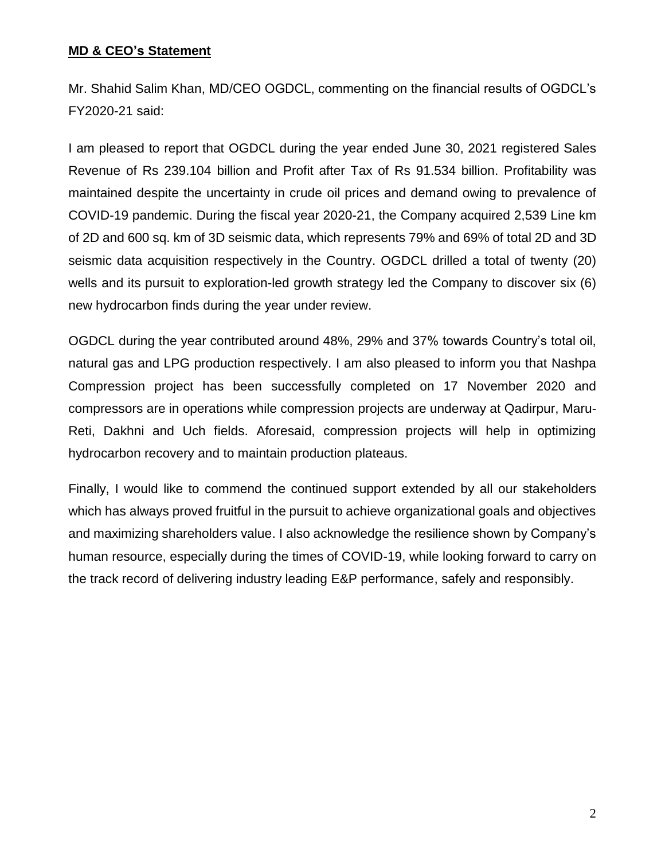### **MD & CEO's Statement**

Mr. Shahid Salim Khan, MD/CEO OGDCL, commenting on the financial results of OGDCL's FY2020-21 said:

I am pleased to report that OGDCL during the year ended June 30, 2021 registered Sales Revenue of Rs 239.104 billion and Profit after Tax of Rs 91.534 billion. Profitability was maintained despite the uncertainty in crude oil prices and demand owing to prevalence of COVID-19 pandemic. During the fiscal year 2020-21, the Company acquired 2,539 Line km of 2D and 600 sq. km of 3D seismic data, which represents 79% and 69% of total 2D and 3D seismic data acquisition respectively in the Country. OGDCL drilled a total of twenty (20) wells and its pursuit to exploration-led growth strategy led the Company to discover six (6) new hydrocarbon finds during the year under review.

OGDCL during the year contributed around 48%, 29% and 37% towards Country's total oil, natural gas and LPG production respectively. I am also pleased to inform you that Nashpa Compression project has been successfully completed on 17 November 2020 and compressors are in operations while compression projects are underway at Qadirpur, Maru-Reti, Dakhni and Uch fields. Aforesaid, compression projects will help in optimizing hydrocarbon recovery and to maintain production plateaus.

Finally, I would like to commend the continued support extended by all our stakeholders which has always proved fruitful in the pursuit to achieve organizational goals and objectives and maximizing shareholders value. I also acknowledge the resilience shown by Company's human resource, especially during the times of COVID-19, while looking forward to carry on the track record of delivering industry leading E&P performance, safely and responsibly.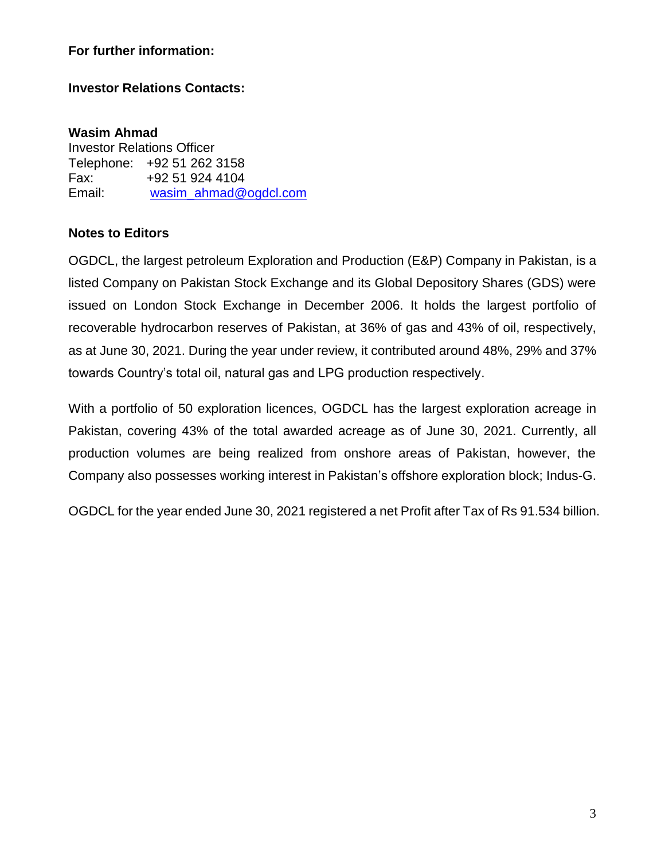### **For further information:**

### **Investor Relations Contacts:**

**Wasim Ahmad** Investor Relations Officer Telephone: +92 51 262 3158 Fax: +92 51 924 4104 Email: [wasim\\_ahmad@ogdcl.com](mailto:wasim_ahmad@ogdcl.com)

### **Notes to Editors**

OGDCL, the largest petroleum Exploration and Production (E&P) Company in Pakistan, is a listed Company on Pakistan Stock Exchange and its Global Depository Shares (GDS) were issued on London Stock Exchange in December 2006. It holds the largest portfolio of recoverable hydrocarbon reserves of Pakistan, at 36% of gas and 43% of oil, respectively, as at June 30, 2021. During the year under review, it contributed around 48%, 29% and 37% towards Country's total oil, natural gas and LPG production respectively.

With a portfolio of 50 exploration licences, OGDCL has the largest exploration acreage in Pakistan, covering 43% of the total awarded acreage as of June 30, 2021. Currently, all production volumes are being realized from onshore areas of Pakistan, however, the Company also possesses working interest in Pakistan's offshore exploration block; Indus-G.

OGDCL for the year ended June 30, 2021 registered a net Profit after Tax of Rs 91.534 billion.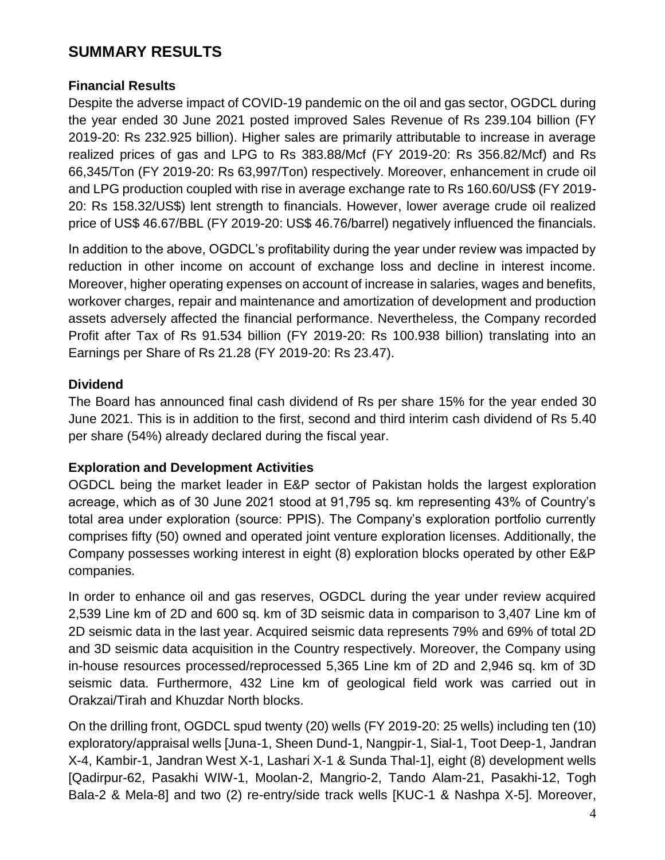# **SUMMARY RESULTS**

## **Financial Results**

Despite the adverse impact of COVID-19 pandemic on the oil and gas sector, OGDCL during the year ended 30 June 2021 posted improved Sales Revenue of Rs 239.104 billion (FY 2019-20: Rs 232.925 billion). Higher sales are primarily attributable to increase in average realized prices of gas and LPG to Rs 383.88/Mcf (FY 2019-20: Rs 356.82/Mcf) and Rs 66,345/Ton (FY 2019-20: Rs 63,997/Ton) respectively. Moreover, enhancement in crude oil and LPG production coupled with rise in average exchange rate to Rs 160.60/US\$ (FY 2019- 20: Rs 158.32/US\$) lent strength to financials. However, lower average crude oil realized price of US\$ 46.67/BBL (FY 2019-20: US\$ 46.76/barrel) negatively influenced the financials.

In addition to the above, OGDCL's profitability during the year under review was impacted by reduction in other income on account of exchange loss and decline in interest income. Moreover, higher operating expenses on account of increase in salaries, wages and benefits, workover charges, repair and maintenance and amortization of development and production assets adversely affected the financial performance. Nevertheless, the Company recorded Profit after Tax of Rs 91.534 billion (FY 2019-20: Rs 100.938 billion) translating into an Earnings per Share of Rs 21.28 (FY 2019-20: Rs 23.47).

### **Dividend**

The Board has announced final cash dividend of Rs per share 15% for the year ended 30 June 2021. This is in addition to the first, second and third interim cash dividend of Rs 5.40 per share (54%) already declared during the fiscal year.

## **Exploration and Development Activities**

OGDCL being the market leader in E&P sector of Pakistan holds the largest exploration acreage, which as of 30 June 2021 stood at 91,795 sq. km representing 43% of Country's total area under exploration (source: PPIS). The Company's exploration portfolio currently comprises fifty (50) owned and operated joint venture exploration licenses. Additionally, the Company possesses working interest in eight (8) exploration blocks operated by other E&P companies.

In order to enhance oil and gas reserves, OGDCL during the year under review acquired 2,539 Line km of 2D and 600 sq. km of 3D seismic data in comparison to 3,407 Line km of 2D seismic data in the last year. Acquired seismic data represents 79% and 69% of total 2D and 3D seismic data acquisition in the Country respectively. Moreover, the Company using in-house resources processed/reprocessed 5,365 Line km of 2D and 2,946 sq. km of 3D seismic data. Furthermore, 432 Line km of geological field work was carried out in Orakzai/Tirah and Khuzdar North blocks.

On the drilling front, OGDCL spud twenty (20) wells (FY 2019-20: 25 wells) including ten (10) exploratory/appraisal wells [Juna-1, Sheen Dund-1, Nangpir-1, Sial-1, Toot Deep-1, Jandran X-4, Kambir-1, Jandran West X-1, Lashari X-1 & Sunda Thal-1], eight (8) development wells [Qadirpur-62, Pasakhi WIW-1, Moolan-2, Mangrio-2, Tando Alam-21, Pasakhi-12, Togh Bala-2 & Mela-8] and two (2) re-entry/side track wells [KUC-1 & Nashpa X-5]. Moreover,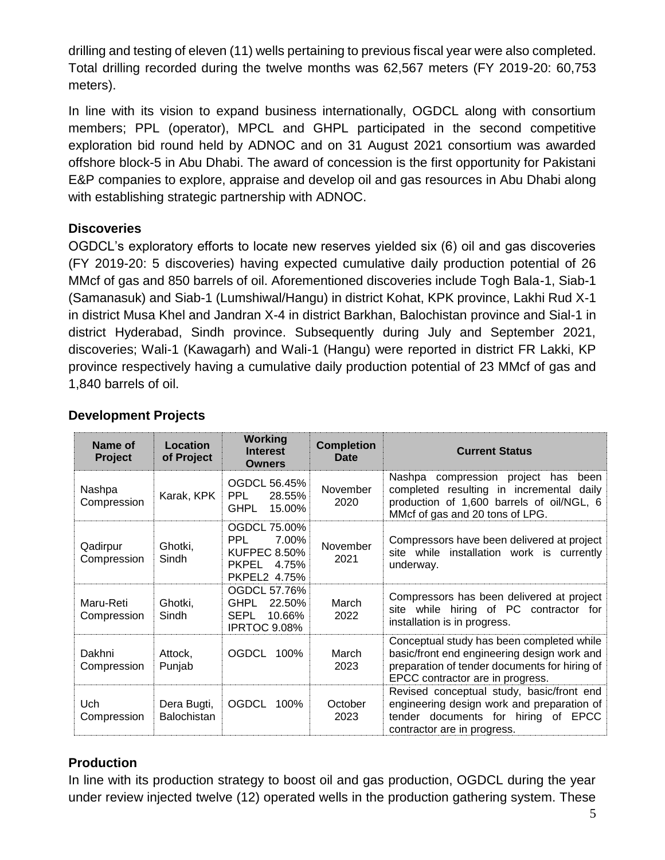drilling and testing of eleven (11) wells pertaining to previous fiscal year were also completed. Total drilling recorded during the twelve months was 62,567 meters (FY 2019-20: 60,753 meters).

In line with its vision to expand business internationally, OGDCL along with consortium members; PPL (operator), MPCL and GHPL participated in the second competitive exploration bid round held by ADNOC and on 31 August 2021 consortium was awarded offshore block-5 in Abu Dhabi. The award of concession is the first opportunity for Pakistani E&P companies to explore, appraise and develop oil and gas resources in Abu Dhabi along with establishing strategic partnership with ADNOC.

# **Discoveries**

OGDCL's exploratory efforts to locate new reserves yielded six (6) oil and gas discoveries (FY 2019-20: 5 discoveries) having expected cumulative daily production potential of 26 MMcf of gas and 850 barrels of oil. Aforementioned discoveries include Togh Bala-1, Siab-1 (Samanasuk) and Siab-1 (Lumshiwal/Hangu) in district Kohat, KPK province, Lakhi Rud X-1 in district Musa Khel and Jandran X-4 in district Barkhan, Balochistan province and Sial-1 in district Hyderabad, Sindh province. Subsequently during July and September 2021, discoveries; Wali-1 (Kawagarh) and Wali-1 (Hangu) were reported in district FR Lakki, KP province respectively having a cumulative daily production potential of 23 MMcf of gas and 1,840 barrels of oil.

| Name of<br>Project       | Location<br>of Project            | <b>Working</b><br><b>Interest</b><br><b>Owners</b>                                                         | <b>Completion</b><br>Date | <b>Current Status</b>                                                                                                                                                         |
|--------------------------|-----------------------------------|------------------------------------------------------------------------------------------------------------|---------------------------|-------------------------------------------------------------------------------------------------------------------------------------------------------------------------------|
| Nashpa<br>Compression    | Karak, KPK                        | OGDCL 56.45%<br>PPL.<br>28.55%<br><b>GHPL</b><br>15.00%                                                    | November<br>2020          | Nashpa compression project has<br>been<br>completed resulting in incremental daily<br>production of 1,600 barrels of oil/NGL, 6<br>MMcf of gas and 20 tons of LPG.            |
| Qadirpur<br>Compression  | Ghotki,<br>Sindh                  | <b>OGDCL 75.00%</b><br><b>PPL</b><br>7.00%<br><b>KUFPEC 8.50%</b><br><b>PKPEL</b><br>4.75%<br>PKPEL2 4.75% | November<br>2021          | Compressors have been delivered at project<br>site while installation work is currently<br>underway.                                                                          |
| Maru-Reti<br>Compression | Ghotki,<br>Sindh                  | OGDCL 57.76%<br><b>GHPL</b><br>22.50%<br><b>SEPL</b><br>10.66%<br>IPRTOC 9.08%                             | March<br>2022             | Compressors has been delivered at project<br>site while hiring of PC contractor for<br>installation is in progress.                                                           |
| Dakhni<br>Compression    | Attock,<br>Punjab                 | <b>OGDCL</b><br>100%                                                                                       | March<br>2023             | Conceptual study has been completed while<br>basic/front end engineering design work and<br>preparation of tender documents for hiring of<br>EPCC contractor are in progress. |
| Uch<br>Compression       | Dera Bugti,<br><b>Balochistan</b> | <b>OGDCL</b><br>100%                                                                                       | October<br>2023           | Revised conceptual study, basic/front end<br>engineering design work and preparation of<br>tender documents for hiring of EPCC<br>contractor are in progress.                 |

# **Development Projects**

# **Production**

In line with its production strategy to boost oil and gas production, OGDCL during the year under review injected twelve (12) operated wells in the production gathering system. These